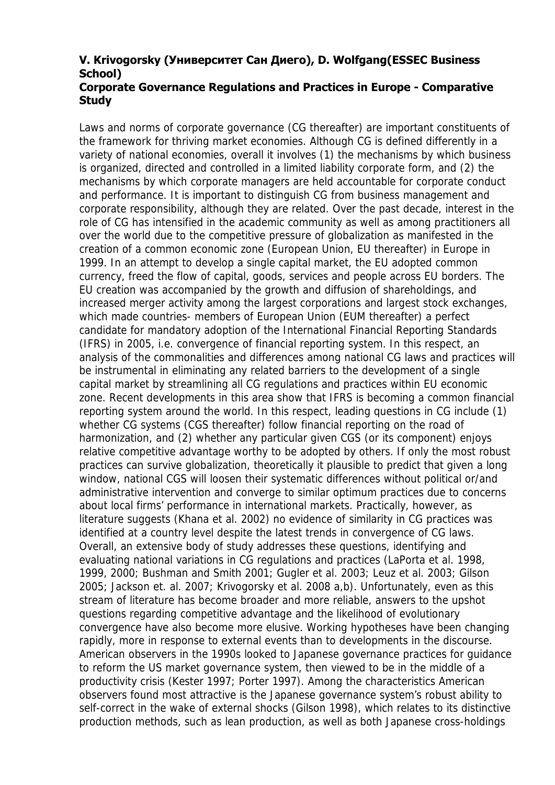## **V. Krivogorsky (Университет Сан Диего), D. Wolfgang(ESSEC Business School)**

## **Corporate Governance Regulations and Practices in Europe - Comparative Study**

Laws and norms of corporate governance (CG thereafter) are important constituents of the framework for thriving market economies. Although CG is defined differently in a variety of national economies, overall it involves (1) the mechanisms by which business is organized, directed and controlled in a limited liability corporate form, and (2) the mechanisms by which corporate managers are held accountable for corporate conduct and performance. It is important to distinguish CG from business management and corporate responsibility, although they are related. Over the past decade, interest in the role of CG has intensified in the academic community as well as among practitioners all over the world due to the competitive pressure of globalization as manifested in the creation of a common economic zone (European Union, EU thereafter) in Europe in 1999. In an attempt to develop a single capital market, the EU adopted common currency, freed the flow of capital, goods, services and people across EU borders. The EU creation was accompanied by the growth and diffusion of shareholdings, and increased merger activity among the largest corporations and largest stock exchanges, which made countries- members of European Union (EUM thereafter) a perfect candidate for mandatory adoption of the International Financial Reporting Standards (IFRS) in 2005, i.e. convergence of financial reporting system. In this respect, an analysis of the commonalities and differences among national CG laws and practices will be instrumental in eliminating any related barriers to the development of a single capital market by streamlining all CG regulations and practices within EU economic zone. Recent developments in this area show that IFRS is becoming a common financial reporting system around the world. In this respect, leading questions in CG include (1) whether CG systems (CGS thereafter) follow financial reporting on the road of harmonization, and (2) whether any particular given CGS (or its component) enjoys relative competitive advantage worthy to be adopted by others. If only the most robust practices can survive globalization, theoretically it plausible to predict that given a long window, national CGS will loosen their systematic differences without political or/and administrative intervention and converge to similar optimum practices due to concerns about local firms' performance in international markets. Practically, however, as literature suggests (Khana et al. 2002) no evidence of similarity in CG practices was identified at a country level despite the latest trends in convergence of CG laws. Overall, an extensive body of study addresses these questions, identifying and evaluating national variations in CG regulations and practices (LaPorta et al. 1998, 1999, 2000; Bushman and Smith 2001; Gugler et al. 2003; Leuz et al. 2003; Gilson 2005; Jackson et. al. 2007; Krivogorsky et al. 2008 a,b). Unfortunately, even as this stream of literature has become broader and more reliable, answers to the upshot questions regarding competitive advantage and the likelihood of evolutionary convergence have also become more elusive. Working hypotheses have been changing rapidly, more in response to external events than to developments in the discourse. American observers in the 1990s looked to Japanese governance practices for guidance to reform the US market governance system, then viewed to be in the middle of a productivity crisis (Kester 1997; Porter 1997). Among the characteristics American observers found most attractive is the Japanese governance system's robust ability to self-correct in the wake of external shocks (Gilson 1998), which relates to its distinctive production methods, such as lean production, as well as both Japanese cross-holdings